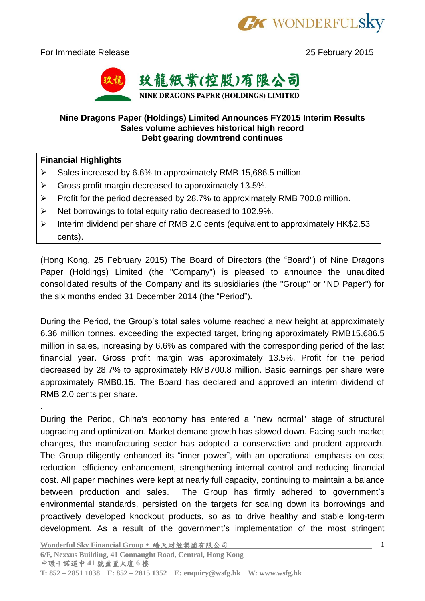

For Immediate Release 25 February 2015



## **Nine Dragons Paper (Holdings) Limited Announces FY2015 Interim Results Sales volume achieves historical high record Debt gearing downtrend continues**

## **Financial Highlights**

.

- $\triangleright$  Sales increased by 6.6% to approximately RMB 15,686.5 million.
- $\triangleright$  Gross profit margin decreased to approximately 13.5%.
- $\triangleright$  Profit for the period decreased by 28.7% to approximately RMB 700.8 million.
- ▶ Net borrowings to total equity ratio decreased to 102.9%.
- $\triangleright$  Interim dividend per share of RMB 2.0 cents (equivalent to approximately HK\$2.53 cents).

(Hong Kong, 25 February 2015) The Board of Directors (the "Board") of Nine Dragons Paper (Holdings) Limited (the "Company") is pleased to announce the unaudited consolidated results of the Company and its subsidiaries (the "Group" or "ND Paper") for the six months ended 31 December 2014 (the "Period").

During the Period, the Group's total sales volume reached a new height at approximately 6.36 million tonnes, exceeding the expected target, bringing approximately RMB15,686.5 million in sales, increasing by 6.6% as compared with the corresponding period of the last financial year. Gross profit margin was approximately 13.5%. Profit for the period decreased by 28.7% to approximately RMB700.8 million. Basic earnings per share were approximately RMB0.15. The Board has declared and approved an interim dividend of RMB 2.0 cents per share.

During the Period, China's economy has entered a "new normal" stage of structural upgrading and optimization. Market demand growth has slowed down. Facing such market changes, the manufacturing sector has adopted a conservative and prudent approach. The Group diligently enhanced its "inner power", with an operational emphasis on cost reduction, efficiency enhancement, strengthening internal control and reducing financial cost. All paper machines were kept at nearly full capacity, continuing to maintain a balance between production and sales. The Group has firmly adhered to government's environmental standards, persisted on the targets for scaling down its borrowings and proactively developed knockout products, so as to drive healthy and stable long-term development. As a result of the government's implementation of the most stringent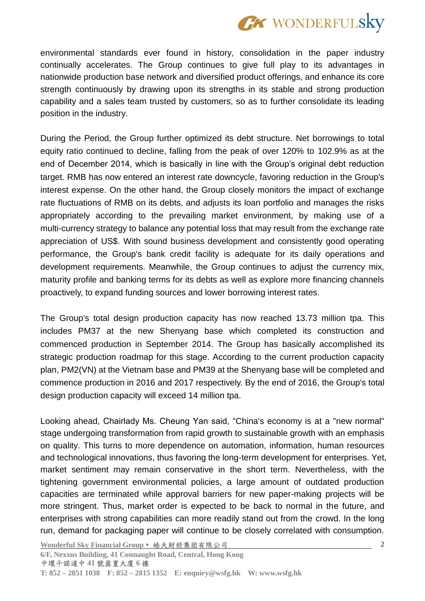

environmental standards ever found in history, consolidation in the paper industry continually accelerates. The Group continues to give full play to its advantages in nationwide production base network and diversified product offerings, and enhance its core strength continuously by drawing upon its strengths in its stable and strong production capability and a sales team trusted by customers, so as to further consolidate its leading position in the industry.

During the Period, the Group further optimized its debt structure. Net borrowings to total equity ratio continued to decline, falling from the peak of over 120% to 102.9% as at the end of December 2014, which is basically in line with the Group's original debt reduction target. RMB has now entered an interest rate downcycle, favoring reduction in the Group's interest expense. On the other hand, the Group closely monitors the impact of exchange rate fluctuations of RMB on its debts, and adjusts its loan portfolio and manages the risks appropriately according to the prevailing market environment, by making use of a multi-currency strategy to balance any potential loss that may result from the exchange rate appreciation of US\$. With sound business development and consistently good operating performance, the Group's bank credit facility is adequate for its daily operations and development requirements. Meanwhile, the Group continues to adjust the currency mix, maturity profile and banking terms for its debts as well as explore more financing channels proactively, to expand funding sources and lower borrowing interest rates.

The Group's total design production capacity has now reached 13.73 million tpa. This includes PM37 at the new Shenyang base which completed its construction and commenced production in September 2014. The Group has basically accomplished its strategic production roadmap for this stage. According to the current production capacity plan, PM2(VN) at the Vietnam base and PM39 at the Shenyang base will be completed and commence production in 2016 and 2017 respectively. By the end of 2016, the Group's total design production capacity will exceed 14 million tpa.

Looking ahead, Chairlady Ms. Cheung Yan said, "China's economy is at a "new normal" stage undergoing transformation from rapid growth to sustainable growth with an emphasis on quality. This turns to more dependence on automation, information, human resources and technological innovations, thus favoring the long-term development for enterprises. Yet, market sentiment may remain conservative in the short term. Nevertheless, with the tightening government environmental policies, a large amount of outdated production capacities are terminated while approval barriers for new paper-making projects will be more stringent. Thus, market order is expected to be back to normal in the future, and enterprises with strong capabilities can more readily stand out from the crowd. In the long run, demand for packaging paper will continue to be closely correlated with consumption.